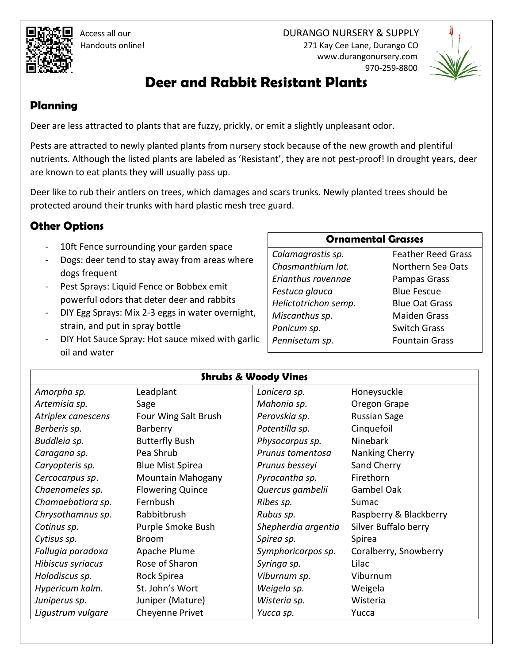Access all our DURANGO NURSERY & SUPPLY Handouts online! 271 Kay Cee Lane, Durango CO www.durangonursery.com 970-259-8800



# **Deer and Rabbit Resistant Plants**

### **Planning**

Deer are less attracted to plants that are fuzzy, prickly, or emit a slightly unpleasant odor.

Pests are attracted to newly planted plants from nursery stock because of the new growth and plentiful nutrients. Although the listed plants are labeled as 'Resistant', they are not pest-proof! In drought years, deer are known to eat plants they will usually pass up.

Deer like to rub their antlers on trees, which damages and scars trunks. Newly planted trees should be protected around their trunks with hard plastic mesh tree guard.

## **Other Options**

- 10ft Fence surrounding your garden space
- Dogs: deer tend to stay away from areas where dogs frequent
- Pest Sprays: Liquid Fence or Bobbex emit powerful odors that deter deer and rabbits
- DIY Egg Sprays: Mix 2-3 eggs in water overnight, strain, and put in spray bottle
- DIY Hot Sauce Spray: Hot sauce mixed with garlic oil and water

#### **Ornamental Grasses**

*Calamagrostis sp. Chasmanthium lat. Erianthus ravennae Festuca glauca Helictotrichon semp. Miscanthus sp. Panicum sp. Pennisetum sp.* 

Feather Reed Grass Northern Sea Oats Pampas Grass Blue Fescue Blue Oat Grass Maiden Grass Switch Grass Fountain Grass

#### **Shrubs & Woody Vines**

| Amorpha sp.        | Leadplant               | Lonicera sp.        | Honeysuckle            |
|--------------------|-------------------------|---------------------|------------------------|
| Artemisia sp.      | Sage                    | Mahonia sp.         | Oregon Grape           |
| Atriplex canescens | Four Wing Salt Brush    | Perovskia sp.       | <b>Russian Sage</b>    |
| Berberis sp.       | Barberry                | Potentilla sp.      | Cinquefoil             |
| Buddleia sp.       | <b>Butterfly Bush</b>   | Physocarpus sp.     | <b>Ninebark</b>        |
| Caragana sp.       | Pea Shrub               | Prunus tomentosa    | Nanking Cherry         |
| Caryopteris sp.    | <b>Blue Mist Spirea</b> | Prunus besseyi      | Sand Cherry            |
| Cercocarpus sp.    | Mountain Mahogany       | Pyrocantha sp.      | Firethorn              |
| Chaenomeles sp.    | <b>Flowering Quince</b> | Quercus gambelii    | Gambel Oak             |
| Chamaebatiara sp.  | Fernbush                | Ribes sp.           | Sumac                  |
| Chrysothamnus sp.  | Rabbitbrush             | Rubus sp.           | Raspberry & Blackberry |
| Cotinus sp.        | Purple Smoke Bush       | Shepherdia argentia | Silver Buffalo berry   |
| Cytisus sp.        | Broom                   | Spirea sp.          | Spirea                 |
| Fallugia paradoxa  | Apache Plume            | Symphoricarpos sp.  | Coralberry, Snowberry  |
| Hibiscus syriacus  | Rose of Sharon          | Syringa sp.         | Lilac                  |
| Holodiscus sp.     | Rock Spirea             | Viburnum sp.        | Viburnum               |
| Hypericum kalm.    | St. John's Wort         | Weigela sp.         | Weigela                |
| Juniperus sp.      | Juniper (Mature)        | Wisteria sp.        | Wisteria               |
| Ligustrum vulgare  | Cheyenne Privet         | Yucca sp.           | Yucca                  |